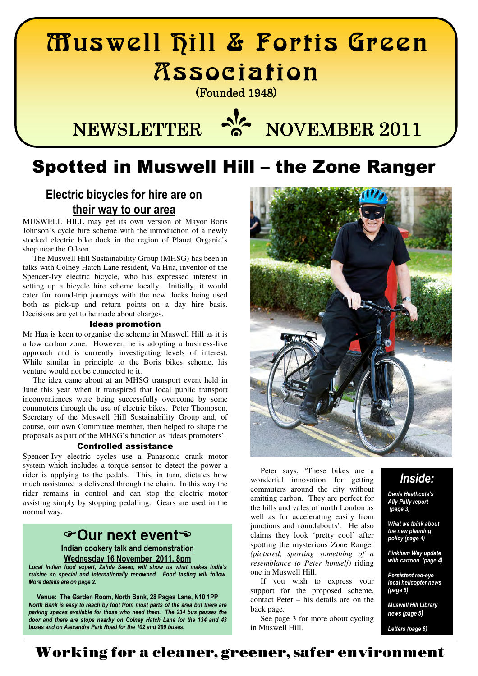# Muswell Hill & Fortis Green Association

(Founded 1948) (Founded 1948)

# **NEWSLETTER a NOVEMBER 2011**

# Spotted in Muswell Hill – the Zone Ranger

## Electric bicycles for hire are on their way to our area

MUSWELL HILL may get its own version of Mayor Boris Johnson's cycle hire scheme with the introduction of a newly stocked electric bike dock in the region of Planet Organic's shop near the Odeon.

 The Muswell Hill Sustainability Group (MHSG) has been in talks with Colney Hatch Lane resident, Va Hua, inventor of the Spencer-Ivy electric bicycle, who has expressed interest in setting up a bicycle hire scheme locally. Initially, it would cater for round-trip journeys with the new docks being used both as pick-up and return points on a day hire basis. Decisions are yet to be made about charges.

#### Ideas promotion

Mr Hua is keen to organise the scheme in Muswell Hill as it is a low carbon zone. However, he is adopting a business-like approach and is currently investigating levels of interest. While similar in principle to the Boris bikes scheme, his venture would not be connected to it.

 The idea came about at an MHSG transport event held in June this year when it transpired that local public transport inconveniences were being successfully overcome by some commuters through the use of electric bikes. Peter Thompson, Secretary of the Muswell Hill Sustainability Group and, of course, our own Committee member, then helped to shape the proposals as part of the MHSG's function as 'ideas promoters'.

#### Controlled assistance

Spencer-Ivy electric cycles use a Panasonic crank motor system which includes a torque sensor to detect the power a rider is applying to the pedals. This, in turn, dictates how much assistance is delivered through the chain. In this way the rider remains in control and can stop the electric motor assisting simply by stopping pedalling. Gears are used in the normal way.

## **Our next event**

Indian cookery talk and demonstration Wednesday 16 November 2011, 8pm

Local Indian food expert, Zahda Saeed, will show us what makes India's cuisine so special and internationally renowned. Food tasting will follow. More details are on page 2.

Venue: The Garden Room, North Bank, 28 Pages Lane, N10 1PP North Bank is easy to reach by foot from most parts of the area but there are parking spaces available for those who need them. The 234 bus passes the door and there are stops nearby on Colney Hatch Lane for the 134 and 43 buses and on Alexandra Park Road for the 102 and 299 buses.



 Peter says, 'These bikes are a wonderful innovation for getting commuters around the city without emitting carbon. They are perfect for the hills and vales of north London as well as for accelerating easily from junctions and roundabouts'. He also claims they look 'pretty cool' after spotting the mysterious Zone Ranger *(pictured, sporting something of a resemblance to Peter himself)* riding one in Muswell Hill.

 If you wish to express your support for the proposed scheme, contact Peter – his details are on the back page.

 See page 3 for more about cycling in Muswell Hill.

## Inside:

Denis Heathcote's Ally Pally report (page 3)

What we think about the new planning policy (page 4)

Pinkham Way update with cartoon (page 4)

Persistent red-eye local helicopter news (page 5)

Muswell Hill Library news (page 5)

Letters (page 6)

## **Working for a cleaner, greener, safer environment**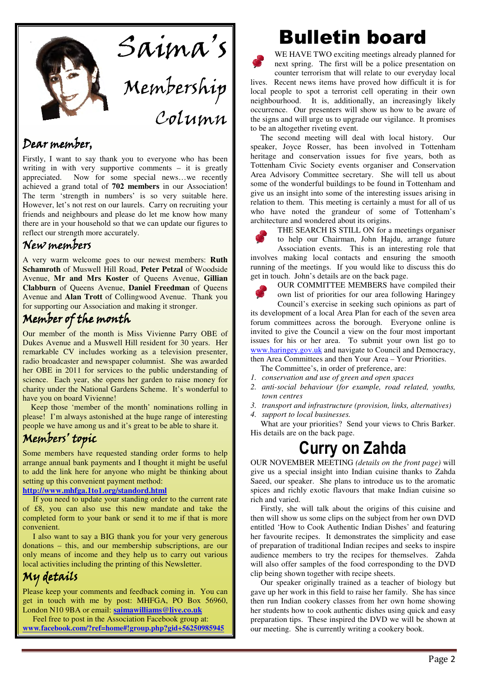

## Dear member,

Firstly, I want to say thank you to everyone who has been writing in with very supportive comments – it is greatly appreciated. Now for some special news…we recently achieved a grand total of **702 members** in our Association! The term 'strength in numbers' is so very suitable here. However, let's not rest on our laurels. Carry on recruiting your friends and neighbours and please do let me know how many there are in your household so that we can update our figures to reflect our strength more accurately.

## New members

A very warm welcome goes to our newest members: **Ruth Schamroth** of Muswell Hill Road, **Peter Petzal** of Woodside Avenue, **Mr and Mrs Koster** of Queens Avenue, **Gillian Clabburn** of Queens Avenue, **Daniel Freedman** of Queens Avenue and **Alan Trott** of Collingwood Avenue. Thank you for supporting our Association and making it stronger.

## Member of the month

Our member of the month is Miss Vivienne Parry OBE of Dukes Avenue and a Muswell Hill resident for 30 years. Her remarkable CV includes working as a television presenter, radio broadcaster and newspaper columnist. She was awarded her OBE in 2011 for services to the public understanding of science. Each year, she opens her garden to raise money for charity under the National Gardens Scheme. It's wonderful to have you on board Vivienne!

 Keep those 'member of the month' nominations rolling in please! I'm always astonished at the huge range of interesting people we have among us and it's great to be able to share it.

## Members' topic

Some members have requested standing order forms to help arrange annual bank payments and I thought it might be useful to add the link here for anyone who might be thinking about setting up this convenient payment method:

#### **http://www.mhfga.1to1.org/standord.html**

 If you need to update your standing order to the current rate of £8, you can also use this new mandate and take the completed form to your bank or send it to me if that is more convenient.

 I also want to say a BIG thank you for your very generous donations – this, and our membership subscriptions, are our only means of income and they help us to carry out various local activities including the printing of this Newsletter.

## My details

Please keep your comments and feedback coming in. You can get in touch with me by post: MHFGA, PO Box 56960, London N10 9BA or email: **saimawilliams@live.co.uk**

 Feel free to post in the Association Facebook group at: **www***.***facebook.com/?ref=home#!group.php?gid+56250985945**

# Bulletin board

WE HAVE TWO exciting meetings already planned for next spring. The first will be a police presentation on counter terrorism that will relate to our everyday local lives. Recent news items have proved how difficult it is for local people to spot a terrorist cell operating in their own neighbourhood. It is, additionally, an increasingly likely occurrence. Our presenters will show us how to be aware of the signs and will urge us to upgrade our vigilance. It promises to be an altogether riveting event.

 The second meeting will deal with local history. Our speaker, Joyce Rosser, has been involved in Tottenham heritage and conservation issues for five years, both as Tottenham Civic Society events organiser and Conservation Area Advisory Committee secretary. She will tell us about some of the wonderful buildings to be found in Tottenham and give us an insight into some of the interesting issues arising in relation to them. This meeting is certainly a must for all of us who have noted the grandeur of some of Tottenham's architecture and wondered about its origins.



THE SEARCH IS STILL ON for a meetings organiser

to help our Chairman, John Hajdu, arrange future Association events. This is an interesting role that involves making local contacts and ensuring the smooth running of the meetings. If you would like to discuss this do get in touch. John's details are on the back page.

OUR COMMITTEE MEMBERS have compiled their own list of priorities for our area following Haringey

Council's exercise in seeking such opinions as part of its development of a local Area Plan for each of the seven area forum committees across the borough. Everyone online is invited to give the Council a view on the four most important issues for his or her area. To submit your own list go to www.haringey.gov.uk and navigate to Council and Democracy, then Area Committees and then Your Area – Your Priorities.

 The Committee's, in order of preference, are: *1. conservation and use of green and open spaces* 

- *2. anti-social behaviour (for example, road related, youths, town centres*
- *3. transport and infrastructure (provision, links, alternatives)*
- *4. support to local businesses.*

 What are your priorities? Send your views to Chris Barker. His details are on the back page.

# Curry on Zahda

OUR NOVEMBER MEETING *(details on the front page)* will give us a special insight into Indian cuisine thanks to Zahda Saeed, our speaker. She plans to introduce us to the aromatic spices and richly exotic flavours that make Indian cuisine so rich and varied.

 Firstly, she will talk about the origins of this cuisine and then will show us some clips on the subject from her own DVD entitled 'How to Cook Authentic Indian Dishes' and featuring her favourite recipes. It demonstrates the simplicity and ease of preparation of traditional Indian recipes and seeks to inspire audience members to try the recipes for themselves. Zahda will also offer samples of the food corresponding to the DVD clip being shown together with recipe sheets.

 Our speaker originally trained as a teacher of biology but gave up her work in this field to raise her family. She has since then run Indian cookery classes from her own home showing her students how to cook authentic dishes using quick and easy preparation tips. These inspired the DVD we will be shown at our meeting. She is currently writing a cookery book.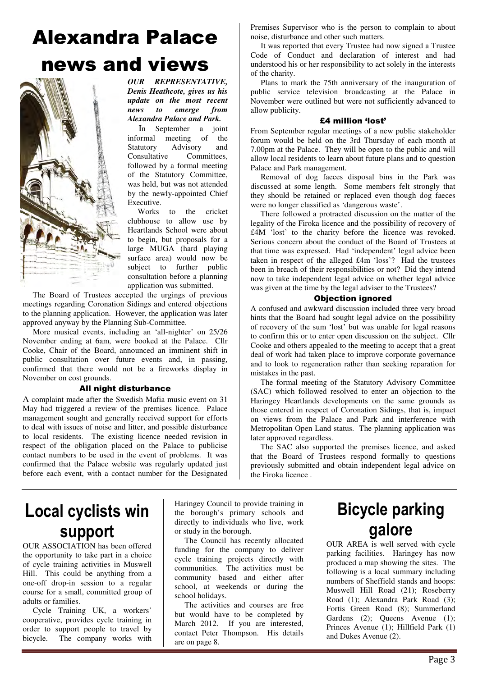# Alexandra Palace news and views



*OUR REPRESENTATIVE, Denis Heathcote, gives us his update on the most recent news to emerge from Alexandra Palace and Park.* 

 In September a joint informal meeting of the Statutory Advisory and<br>Consultative Committees. Committees, followed by a formal meeting of the Statutory Committee, was held, but was not attended by the newly-appointed Chief Executive.

 Works to the cricket clubhouse to allow use by Heartlands School were about to begin, but proposals for a large MUGA (hard playing surface area) would now be subject to further public consultation before a planning application was submitted.

 The Board of Trustees accepted the urgings of previous meetings regarding Coronation Sidings and entered objections to the planning application. However, the application was later approved anyway by the Planning Sub-Committee.

 More musical events, including an 'all-nighter' on 25/26 November ending at 6am, were booked at the Palace. Cllr Cooke, Chair of the Board, announced an imminent shift in public consultation over future events and, in passing, confirmed that there would not be a fireworks display in November on cost grounds.

#### All night disturbance

A complaint made after the Swedish Mafia music event on 31 May had triggered a review of the premises licence. Palace management sought and generally received support for efforts to deal with issues of noise and litter, and possible disturbance to local residents. The existing licence needed revision in respect of the obligation placed on the Palace to publicise contact numbers to be used in the event of problems. It was confirmed that the Palace website was regularly updated just before each event, with a contact number for the Designated

Premises Supervisor who is the person to complain to about noise, disturbance and other such matters.

 It was reported that every Trustee had now signed a Trustee Code of Conduct and declaration of interest and had understood his or her responsibility to act solely in the interests of the charity.

 Plans to mark the 75th anniversary of the inauguration of public service television broadcasting at the Palace in November were outlined but were not sufficiently advanced to allow publicity.

#### £4 million 'lost'

From September regular meetings of a new public stakeholder forum would be held on the 3rd Thursday of each month at 7.00pm at the Palace. They will be open to the public and will allow local residents to learn about future plans and to question Palace and Park management.

 Removal of dog faeces disposal bins in the Park was discussed at some length. Some members felt strongly that they should be retained or replaced even though dog faeces were no longer classified as 'dangerous waste'.

 There followed a protracted discussion on the matter of the legality of the Firoka licence and the possibility of recovery of £4M 'lost' to the charity before the licence was revoked. Serious concern about the conduct of the Board of Trustees at that time was expressed. Had 'independent' legal advice been taken in respect of the alleged £4m 'loss'? Had the trustees been in breach of their responsibilities or not? Did they intend now to take independent legal advice on whether legal advice was given at the time by the legal adviser to the Trustees?

#### Objection ignored

A confused and awkward discussion included three very broad hints that the Board had sought legal advice on the possibility of recovery of the sum 'lost' but was unable for legal reasons to confirm this or to enter open discussion on the subject. Cllr Cooke and others appealed to the meeting to accept that a great deal of work had taken place to improve corporate governance and to look to regeneration rather than seeking reparation for mistakes in the past.

 The formal meeting of the Statutory Advisory Committee (SAC) which followed resolved to enter an objection to the Haringey Heartlands developments on the same grounds as those entered in respect of Coronation Sidings, that is, impact on views from the Palace and Park and interference with Metropolitan Open Land status. The planning application was later approved regardless.

 The SAC also supported the premises licence, and asked that the Board of Trustees respond formally to questions previously submitted and obtain independent legal advice on the Firoka licence .

## Local cyclists win support

OUR ASSOCIATION has been offered the opportunity to take part in a choice of cycle training activities in Muswell Hill. This could be anything from a one-off drop-in session to a regular course for a small, committed group of adults or families.

 Cycle Training UK, a workers' cooperative, provides cycle training in order to support people to travel by bicycle. The company works with

Haringey Council to provide training in the borough's primary schools and directly to individuals who live, work or study in the borough.

 The Council has recently allocated funding for the company to deliver cycle training projects directly with communities. The activities must be community based and either after school, at weekends or during the school holidays.

 The activities and courses are free but would have to be completed by March 2012. If you are interested, contact Peter Thompson. His details are on page 8.

# Bicycle parking galore

OUR AREA is well served with cycle parking facilities. Haringey has now produced a map showing the sites. The following is a local summary including numbers of Sheffield stands and hoops: Muswell Hill Road (21); Roseberry Road (1); Alexandra Park Road (3); Fortis Green Road (8); Summerland Gardens (2); Queens Avenue (1); Princes Avenue (1); Hillfield Park (1) and Dukes Avenue (2).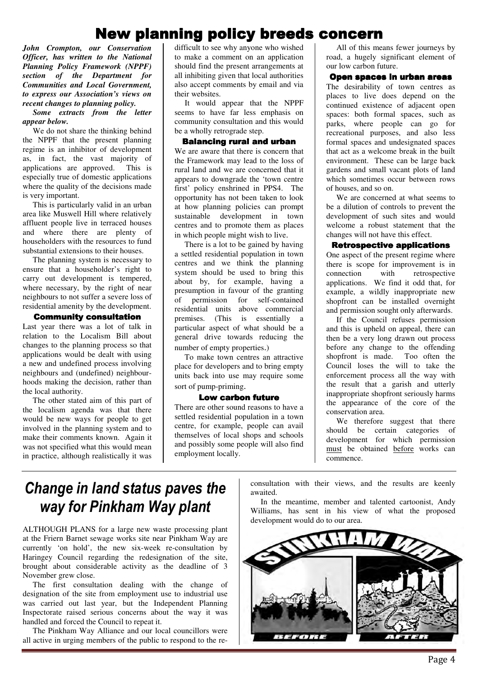## **New planning policy breeds concern**

*John Crompton, our Conservation Officer, has written to the National Planning Policy Framework (NPPF) section of the Department for Communities and Local Government, to express our Association's views on recent changes to planning policy.* 

#### *Some extracts from the letter appear below.*

 We do not share the thinking behind the NPPF that the present planning regime is an inhibitor of development as, in fact, the vast majority of applications are approved. This is especially true of domestic applications where the quality of the decisions made is very important.

 This is particularly valid in an urban area like Muswell Hill where relatively affluent people live in terraced houses and where there are plenty of householders with the resources to fund substantial extensions to their houses.

 The planning system is necessary to ensure that a householder's right to carry out development is tempered, where necessary, by the right of near neighbours to not suffer a severe loss of residential amenity by the development.

#### Community consultation

Last year there was a lot of talk in relation to the Localism Bill about changes to the planning process so that applications would be dealt with using a new and undefined process involving neighbours and (undefined) neighbourhoods making the decision, rather than the local authority.

 The other stated aim of this part of the localism agenda was that there would be new ways for people to get involved in the planning system and to make their comments known. Again it was not specified what this would mean in practice, although realistically it was

difficult to see why anyone who wished to make a comment on an application should find the present arrangements at all inhibiting given that local authorities also accept comments by email and via their websites.

 It would appear that the NPPF seems to have far less emphasis on community consultation and this would be a wholly retrograde step.

#### **Balancing rural and urban**

We are aware that there is concern that the Framework may lead to the loss of rural land and we are concerned that it appears to downgrade the 'town centre first' policy enshrined in PPS4. The opportunity has not been taken to look at how planning policies can prompt sustainable development in town centres and to promote them as places in which people might wish to live.

 There is a lot to be gained by having a settled residential population in town centres and we think the planning system should be used to bring this about by, for example, having a presumption in favour of the granting of permission for self-contained residential units above commercial premises. (This is essentially a particular aspect of what should be a general drive towards reducing the number of empty properties.)

 To make town centres an attractive place for developers and to bring empty units back into use may require some sort of pump-priming.

#### Low carbon future

There are other sound reasons to have a settled residential population in a town centre, for example, people can avail themselves of local shops and schools and possibly some people will also find employment locally.

 All of this means fewer journeys by road, a hugely significant element of our low carbon future.

#### Open spaces in urban areas

The desirability of town centres as places to live does depend on the continued existence of adjacent open spaces: both formal spaces, such as parks, where people can go for recreational purposes, and also less formal spaces and undesignated spaces that act as a welcome break in the built environment. These can be large back gardens and small vacant plots of land which sometimes occur between rows of houses, and so on.

 We are concerned at what seems to be a dilution of controls to prevent the development of such sites and would welcome a robust statement that the changes will not have this effect.

#### **Retrospective applications**

One aspect of the present regime where there is scope for improvement is in connection with retrospective applications. We find it odd that, for example, a wildly inappropriate new shopfront can be installed overnight and permission sought only afterwards.

 If the Council refuses permission and this is upheld on appeal, there can then be a very long drawn out process before any change to the offending shopfront is made. Too often the Council loses the will to take the enforcement process all the way with the result that a garish and utterly inappropriate shopfront seriously harms the appearance of the core of the conservation area.

We therefore suggest that there should be certain categories of development for which permission must be obtained before works can commence.

## Change in land status paves the way for Pinkham Way plant

ALTHOUGH PLANS for a large new waste processing plant at the Friern Barnet sewage works site near Pinkham Way are currently 'on hold', the new six-week re-consultation by Haringey Council regarding the redesignation of the site, brought about considerable activity as the deadline of 3 November grew close.

 The first consultation dealing with the change of designation of the site from employment use to industrial use was carried out last year, but the Independent Planning Inspectorate raised serious concerns about the way it was handled and forced the Council to repeat it.

 The Pinkham Way Alliance and our local councillors were all active in urging members of the public to respond to the reconsultation with their views, and the results are keenly awaited.

 In the meantime, member and talented cartoonist, Andy Williams, has sent in his view of what the proposed development would do to our area.

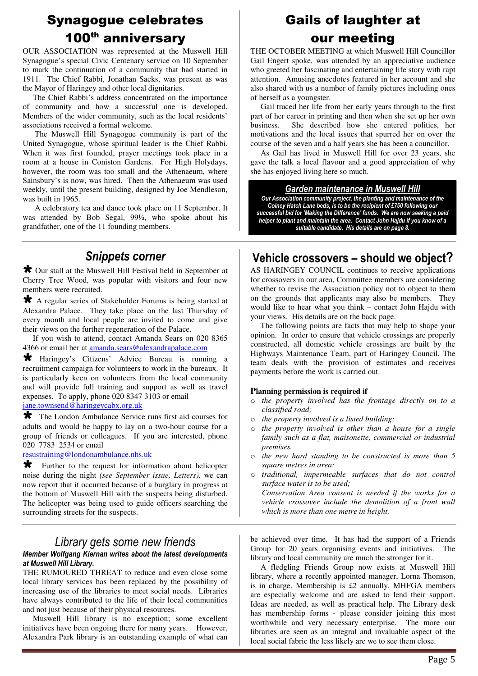## Synagogue celebrates 100<sup>th</sup> anniversary

OUR ASSOCIATION was represented at the Muswell Hill Synagogue's special Civic Centenary service on 10 September to mark the continuation of a community that had started in 1911. The Chief Rabbi, Jonathan Sacks, was present as was the Mayor of Haringey and other local dignitaries.

 The Chief Rabbi's address concentrated on the importance of community and how a successful one is developed. Members of the wider community, such as the local residents' associations received a formal welcome.

 The Muswell Hill Synagogue community is part of the United Synagogue, whose spiritual leader is the Chief Rabbi. When it was first founded, prayer meetings took place in a room at a house in Coniston Gardens. For High Holydays, however, the room was too small and the Athenaeum, where Sainsbury's is now, was hired. Then the Athenaeum was used weekly, until the present building, designed by Joe Mendleson, was built in 1965.

 A celebratory tea and dance took place on 11 September. It was attended by Bob Segal, 99½, who spoke about his grandfather, one of the 11 founding members.

## Snippets corner

 Our stall at the Muswell Hill Festival held in September at Cherry Tree Wood, was popular with visitors and four new members were recruited.

 A regular series of Stakeholder Forums is being started at Alexandra Palace. They take place on the last Thursday of every month and local people are invited to come and give their views on the further regeneration of the Palace.

 If you wish to attend, contact Amanda Sears on 020 8365 4366 or email her at **amanda**.sears@alexandrapalace.com

 Haringey's Citizens' Advice Bureau is running a recruitment campaign for volunteers to work in the bureaux. It is particularly keen on volunteers from the local community and will provide full training and support as well as travel expenses. To apply, phone 020 8347 3103 or email jane.townsend@haringeycabx.org.uk

The London Ambulance Service runs first aid courses for adults and would be happy to lay on a two-hour course for a group of friends or colleagues. If you are interested, phone 020 7783 2534 or email

resustraining@londonambulance.nhs.uk

 Further to the request for information about helicopter noise during the night *(see September issue, Letters),* we can now report that it occurred because of a burglary in progress at the bottom of Muswell Hill with the suspects being disturbed. The helicopter was being used to guide officers searching the surrounding streets for the suspects.

## Library gets some new friends

## Member Wolfgang Kiernan writes about the latest developments at Muswell Hill Library.

THE RUMOURED THREAT to reduce and even close some local library services has been replaced by the possibility of increasing use of the libraries to meet social needs. Libraries have always contributed to the life of their local communities and not just because of their physical resources.

 Muswell Hill library is no exception; some excellent initiatives have been ongoing there for many years. However, Alexandra Park library is an outstanding example of what can

## Gails of laughter at our meeting

THE OCTOBER MEETING at which Muswell Hill Councillor Gail Engert spoke, was attended by an appreciative audience who greeted her fascinating and entertaining life story with rapt attention. Amusing anecdotes featured in her account and she also shared with us a number of family pictures including ones of herself as a youngster.

 Gail traced her life from her early years through to the first part of her career in printing and then when she set up her own business. She described how she entered politics, her motivations and the local issues that spurred her on over the course of the seven and a half years she has been a councillor.

 As Gail has lived in Muswell Hill for over 23 years, she gave the talk a local flavour and a good appreciation of why she has enjoyed living here so much.

## Garden maintenance in Muswell Hill

Our Association community project, the planting and maintenance of the Colney Hatch Lane beds, is to be the recipient of £750 following our successful bid for 'Making the Difference' funds. We are now seeking a paid helper to plant and maintain the area. Contact John Hajdu if you know of a suitable candidate. His details are on page 8.

## Vehicle crossovers – should we object?

AS HARINGEY COUNCIL continues to receive applications for crossovers in our area, Committee members are considering whether to revise the Association policy not to object to them on the grounds that applicants may also be members. They would like to hear what you think – contact John Hajdu with your views. His details are on the back page.

 The following points are facts that may help to shape your opinion. In order to ensure that vehicle crossings are properly constructed, all domestic vehicle crossings are built by the Highways Maintenance Team, part of Haringey Council. The team deals with the provision of estimates and receives payments before the work is carried out.

## **Planning permission is required if**

- o *the property involved has the frontage directly on to a classified road;*
- o *the property involved is a listed building;*
- o *the property involved is other than a house for a single family such as a flat, maisonette, commercial or industrial premises.*
- o *the new hard standing to be constructed is more than 5 square metres in area;*
- o *traditional, impermeable surfaces that do not control surface water is to be used; Conservation Area consent is needed if the works for a*

*vehicle crossover include the demolition of a front wall which is more than one metre in height.*

be achieved over time. It has had the support of a Friends Group for 20 years organising events and initiatives. The library and local community are much the stronger for it.

 A fledgling Friends Group now exists at Muswell Hill library, where a recently appointed manager, Lorna Thomson, is in charge. Membership is £2 annually. MHFGA members are especially welcome and are asked to lend their support. Ideas are needed, as well as practical help. The Library desk has membership forms - please consider joining this most worthwhile and very necessary enterprise. The more our libraries are seen as an integral and invaluable aspect of the local social fabric the less likely are we to see them close.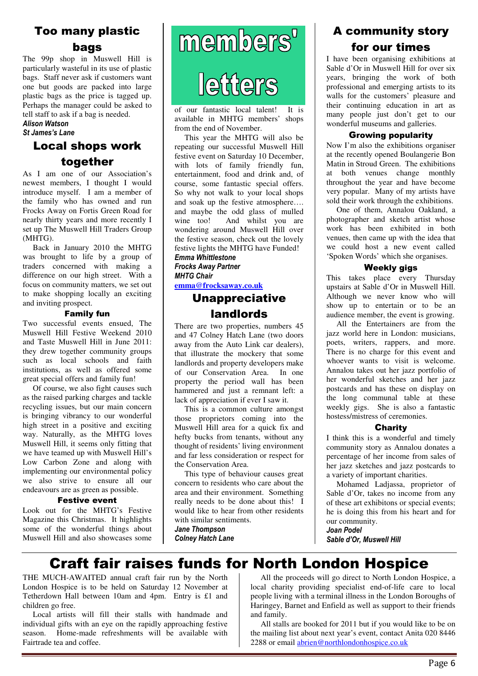## Too many plastic bags

The 99p shop in Muswell Hill is particularly wasteful in its use of plastic bags. Staff never ask if customers want one but goods are packed into large plastic bags as the price is tagged up. Perhaps the manager could be asked to tell staff to ask if a bag is needed. Alison Watson

## St James's Lane

## Local shops work together

As I am one of our Association's newest members, I thought I would introduce myself. I am a member of the family who has owned and run Frocks Away on Fortis Green Road for nearly thirty years and more recently I set up The Muswell Hill Traders Group (MHTG).

 Back in January 2010 the MHTG was brought to life by a group of traders concerned with making a difference on our high street. With a focus on community matters, we set out to make shopping locally an exciting and inviting prospect.

#### Family fun

Two successful events ensued, The Muswell Hill Festive Weekend 2010 and Taste Muswell Hill in June 2011: they drew together community groups such as local schools and faith institutions, as well as offered some great special offers and family fun!

 Of course, we also fight causes such as the raised parking charges and tackle recycling issues, but our main concern is bringing vibrancy to our wonderful high street in a positive and exciting way. Naturally, as the MHTG loves Muswell Hill, it seems only fitting that we have teamed up with Muswell Hill's Low Carbon Zone and along with implementing our environmental policy we also strive to ensure all our endeavours are as green as possible.

#### Festive event

Look out for the MHTG's Festive Magazine this Christmas. It highlights some of the wonderful things about Muswell Hill and also showcases some

# members' leffers

of our fantastic local talent! It is available in MHTG members' shops from the end of November.

 This year the MHTG will also be repeating our successful Muswell Hill festive event on Saturday 10 December, with lots of family friendly fun, entertainment, food and drink and, of course, some fantastic special offers. So why not walk to your local shops and soak up the festive atmosphere…. and maybe the odd glass of mulled wine too! And whilst you are wondering around Muswell Hill over the festive season, check out the lovely festive lights the MHTG have Funded!

#### Emma Whittlestone Frocks Away Partner **MHTG Chair**

**emma@frocksaway.co.uk** 

## Unappreciative landlords

There are two properties, numbers 45 and 47 Colney Hatch Lane (two doors away from the Auto Link car dealers), that illustrate the mockery that some landlords and property developers make of our Conservation Area. In one property the period wall has been hammered and just a remnant left: a lack of appreciation if ever I saw it.

 This is a common culture amongst those proprietors coming into the Muswell Hill area for a quick fix and hefty bucks from tenants, without any thought of residents' living environment and far less consideration or respect for the Conservation Area.

 This type of behaviour causes great concern to residents who care about the area and their environment. Something really needs to be done about this! I would like to hear from other residents with similar sentiments.

Jane Thompson Colney Hatch Lane

## A community story for our times

I have been organising exhibitions at Sable d'Or in Muswell Hill for over six years, bringing the work of both professional and emerging artists to its walls for the customers' pleasure and their continuing education in art as many people just don't get to our wonderful museums and galleries.

### Growing popularity

Now I'm also the exhibitions organiser at the recently opened Boulangerie Bon Matin in Stroud Green. The exhibitions at both venues change monthly throughout the year and have become very popular. Many of my artists have sold their work through the exhibitions.

 One of them, Annalou Oakland, a photographer and sketch artist whose work has been exhibited in both venues, then came up with the idea that we could host a new event called 'Spoken Words' which she organises.

#### Weekly gigs

This takes place every Thursday upstairs at Sable d'Or in Muswell Hill. Although we never know who will show up to entertain or to be an audience member, the event is growing.

 All the Entertainers are from the jazz world here in London: musicians, poets, writers, rappers, and more. There is no charge for this event and whoever wants to visit is welcome. Annalou takes out her jazz portfolio of her wonderful sketches and her jazz postcards and has these on display on the long communal table at these weekly gigs. She is also a fantastic hostess/mistress of ceremonies.

#### **Charity**

I think this is a wonderful and timely community story as Annalou donates a percentage of her income from sales of her jazz sketches and jazz postcards to a variety of important charities.

 Mohamed Ladjassa, proprietor of Sable d'Or, takes no income from any of these art exhibitons or special events; he is doing this from his heart and for our community.

Joan Podel Sable d'Or, Muswell Hill

## Craft fair raises funds for North London Hospice

THE MUCH-AWAITED annual craft fair run by the North London Hospice is to be held on Saturday 12 November at Tetherdown Hall between 10am and 4pm. Entry is £1 and children go free.

 Local artists will fill their stalls with handmade and individual gifts with an eye on the rapidly approaching festive season. Home-made refreshments will be available with Fairtrade tea and coffee.

 All the proceeds will go direct to North London Hospice, a local charity providing specialist end-of-life care to local people living with a terminal illness in the London Boroughs of Haringey, Barnet and Enfield as well as support to their friends and family.

 All stalls are booked for 2011 but if you would like to be on the mailing list about next year's event, contact Anita 020 8446 2288 or email abrien@northlondonhospice.co.uk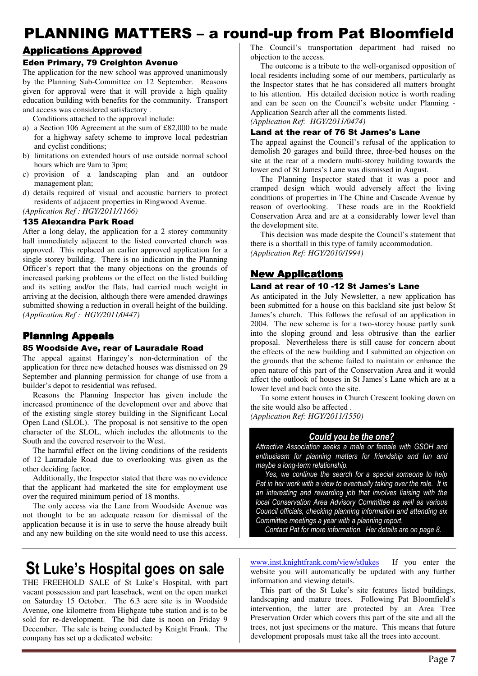## PLANNING MATTERS – a round-up from Pat Bloomfield

## **Applications Approved**

#### Eden Primary, 79 Creighton Avenue

The application for the new school was approved unanimously by the Planning Sub-Committee on 12 September. Reasons given for approval were that it will provide a high quality education building with benefits for the community. Transport and access was considered satisfactory .

Conditions attached to the approval include:

- a) a Section 106 Agreement at the sum of £82,000 to be made for a highway safety scheme to improve local pedestrian and cyclist conditions;
- b) limitations on extended hours of use outside normal school hours which are 9am to 3pm;
- c) provision of a landscaping plan and an outdoor management plan;
- d) details required of visual and acoustic barriers to protect residents of adjacent properties in Ringwood Avenue. *(Application Ref : HGY/2011/1166)*

## 135 Alexandra Park Road

After a long delay, the application for a 2 storey community hall immediately adjacent to the listed converted church was approved. This replaced an earlier approved application for a single storey building. There is no indication in the Planning Officer's report that the many objections on the grounds of increased parking problems or the effect on the listed building and its setting and/or the flats, had carried much weight in arriving at the decision, although there were amended drawings submitted showing a reduction in overall height of the building. *(Application Ref : HGY/2011/0447)*

## **Planning Appeals**

#### 85 Woodside Ave, rear of Lauradale Road

The appeal against Haringey's non-determination of the application for three new detached houses was dismissed on 29 September and planning permission for change of use from a builder's depot to residential was refused.

 Reasons the Planning Inspector has given include the increased prominence of the development over and above that of the existing single storey building in the Significant Local Open Land (SLOL). The proposal is not sensitive to the open character of the SLOL, which includes the allotments to the South and the covered reservoir to the West.

 The harmful effect on the living conditions of the residents of 12 Lauradale Road due to overlooking was given as the other deciding factor.

 Additionally, the Inspector stated that there was no evidence that the applicant had marketed the site for employment use over the required minimum period of 18 months.

 The only access via the Lane from Woodside Avenue was not thought to be an adequate reason for dismissal of the application because it is in use to serve the house already built and any new building on the site would need to use this access.

## St Luke's Hospital goes on sale

THE FREEHOLD SALE of St Luke's Hospital, with part vacant possession and part leaseback, went on the open market on Saturday 15 October. The 6.3 acre site is in Woodside Avenue, one kilometre from Highgate tube station and is to be sold for re-development. The bid date is noon on Friday 9 December. The sale is being conducted by Knight Frank. The company has set up a dedicated website:

The Council's transportation department had raised no objection to the access.

 The outcome is a tribute to the well-organised opposition of local residents including some of our members, particularly as the Inspector states that he has considered all matters brought to his attention. His detailed decision notice is worth reading and can be seen on the Council's website under Planning - Application Search after all the comments listed. *(Application Ref: HGY/2011/0474)* 

#### Land at the rear of 76 St James's Lane

The appeal against the Council's refusal of the application to demolish 20 garages and build three, three-bed houses on the site at the rear of a modern multi-storey building towards the lower end of St James's Lane was dismissed in August.

 The Planning Inspector stated that it was a poor and cramped design which would adversely affect the living conditions of properties in The Chine and Cascade Avenue by reason of overlooking. These roads are in the Rookfield Conservation Area and are at a considerably lower level than the development site.

 This decision was made despite the Council's statement that there is a shortfall in this type of family accommodation. *(Application Ref: HGY/2010/1994)* 

#### New Applications

#### Land at rear of 10 -12 St James's Lane

As anticipated in the July Newsletter, a new application has been submitted for a house on this backland site just below St James's church. This follows the refusal of an application in 2004. The new scheme is for a two-storey house partly sunk into the sloping ground and less obtrusive than the earlier proposal. Nevertheless there is still cause for concern about the effects of the new building and I submitted an objection on the grounds that the scheme failed to maintain or enhance the open nature of this part of the Conservation Area and it would affect the outlook of houses in St James's Lane which are at a lower level and back onto the site.

 To some extent houses in Church Crescent looking down on the site would also be affected .

*(Application Ref: HGY/2011/1550)* 

#### Could you be the one?

Attractive Association seeks a male or female with GSOH and enthusiasm for planning matters for friendship and fun and maybe a long-term relationship.

 Yes, we continue the search for a special someone to help Pat in her work with a view to eventually taking over the role. It is an interesting and rewarding job that involves liaising with the local Conservation Area Advisory Committee as well as various Council officials, checking planning information and attending six Committee meetings a year with a planning report.

Contact Pat for more information. Her details are on page 8.

www.inst.knightfrank.com/view/stlukes If you enter the website you will automatically be updated with any further information and viewing details.

 This part of the St Luke's site features listed buildings, landscaping and mature trees. Following Pat Bloomfield's intervention, the latter are protected by an Area Tree Preservation Order which covers this part of the site and all the trees, not just specimens or the mature. This means that future development proposals must take all the trees into account.